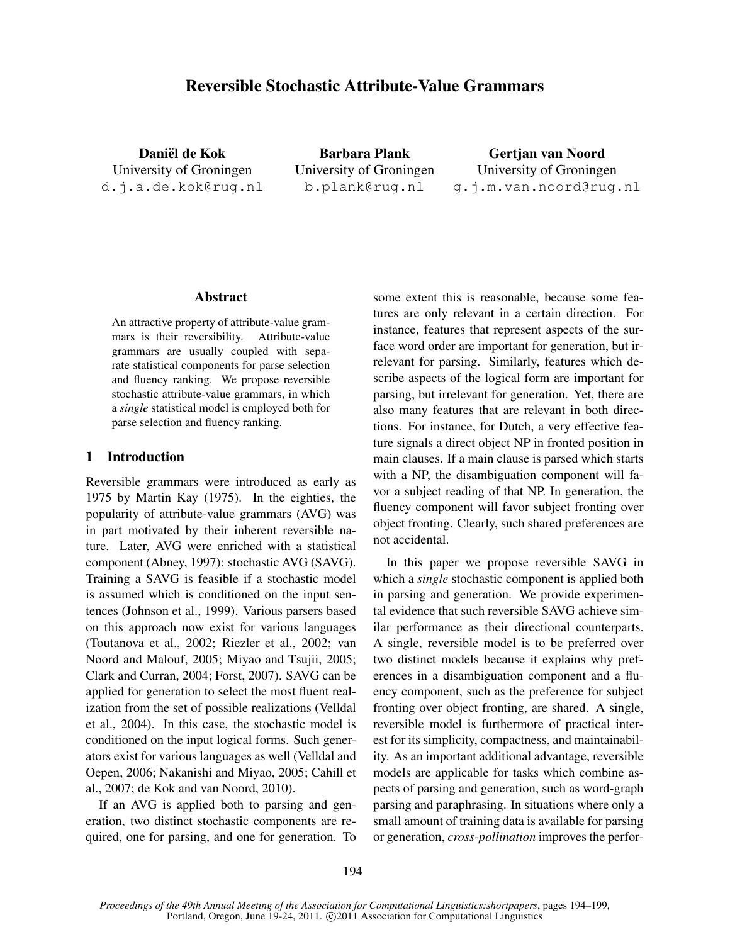# Reversible Stochastic Attribute-Value Grammars

Daniël de Kok University of Groningen d.j.a.de.kok@rug.nl

Barbara Plank University of Groningen b.plank@rug.nl

Gertjan van Noord University of Groningen g.j.m.van.noord@rug.nl

#### Abstract

An attractive property of attribute-value grammars is their reversibility. Attribute-value grammars are usually coupled with separate statistical components for parse selection and fluency ranking. We propose reversible stochastic attribute-value grammars, in which a *single* statistical model is employed both for parse selection and fluency ranking.

#### 1 Introduction

Reversible grammars were introduced as early as 1975 by Martin Kay (1975). In the eighties, the popularity of attribute-value grammars (AVG) was in part motivated by their inherent reversible nature. Later, AVG were enriched with a statistical component (Abney, 1997): stochastic AVG (SAVG). Training a SAVG is feasible if a stochastic model is assumed which is conditioned on the input sentences (Johnson et al., 1999). Various parsers based on this approach now exist for various languages (Toutanova et al., 2002; Riezler et al., 2002; van Noord and Malouf, 2005; Miyao and Tsujii, 2005; Clark and Curran, 2004; Forst, 2007). SAVG can be applied for generation to select the most fluent realization from the set of possible realizations (Velldal et al., 2004). In this case, the stochastic model is conditioned on the input logical forms. Such generators exist for various languages as well (Velldal and Oepen, 2006; Nakanishi and Miyao, 2005; Cahill et al., 2007; de Kok and van Noord, 2010).

If an AVG is applied both to parsing and generation, two distinct stochastic components are required, one for parsing, and one for generation. To some extent this is reasonable, because some features are only relevant in a certain direction. For instance, features that represent aspects of the surface word order are important for generation, but irrelevant for parsing. Similarly, features which describe aspects of the logical form are important for parsing, but irrelevant for generation. Yet, there are also many features that are relevant in both directions. For instance, for Dutch, a very effective feature signals a direct object NP in fronted position in main clauses. If a main clause is parsed which starts with a NP, the disambiguation component will favor a subject reading of that NP. In generation, the fluency component will favor subject fronting over object fronting. Clearly, such shared preferences are not accidental.

In this paper we propose reversible SAVG in which a *single* stochastic component is applied both in parsing and generation. We provide experimental evidence that such reversible SAVG achieve similar performance as their directional counterparts. A single, reversible model is to be preferred over two distinct models because it explains why preferences in a disambiguation component and a fluency component, such as the preference for subject fronting over object fronting, are shared. A single, reversible model is furthermore of practical interest for its simplicity, compactness, and maintainability. As an important additional advantage, reversible models are applicable for tasks which combine aspects of parsing and generation, such as word-graph parsing and paraphrasing. In situations where only a small amount of training data is available for parsing or generation, *cross-pollination* improves the perfor-

*Proceedings of the 49th Annual Meeting of the Association for Computational Linguistics:shortpapers*, pages 194–199, Portland, Oregon, June 19-24, 2011. ©2011 Association for Computational Linguistics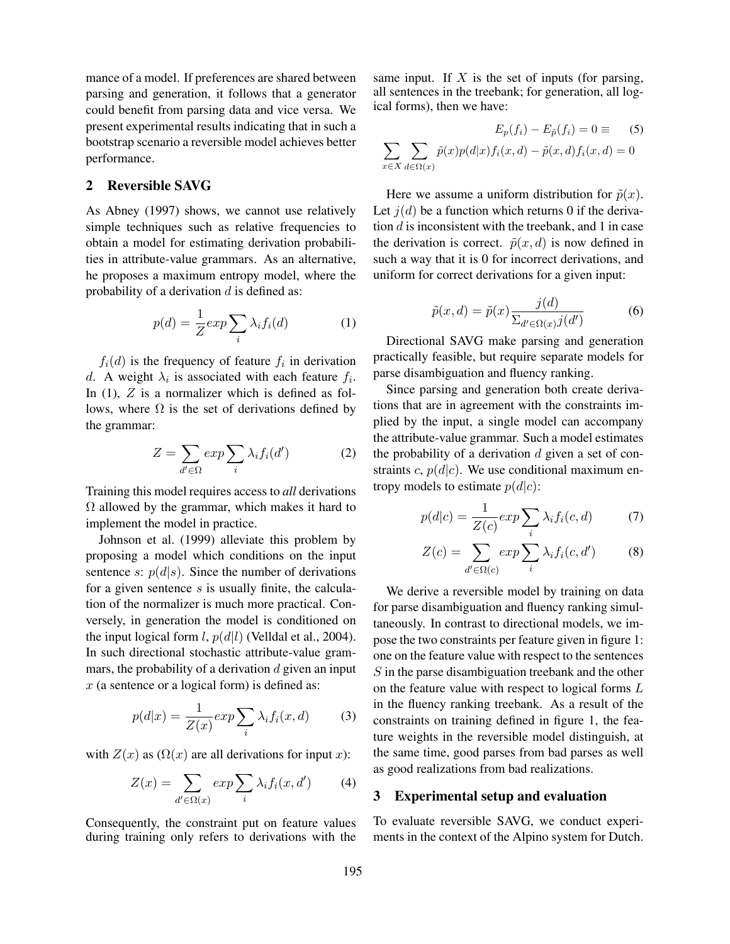mance of a model. If preferences are shared between parsing and generation, it follows that a generator could benefit from parsing data and vice versa. We present experimental results indicating that in such a bootstrap scenario a reversible model achieves better performance.

# 2 Reversible SAVG

As Abney (1997) shows, we cannot use relatively simple techniques such as relative frequencies to obtain a model for estimating derivation probabilities in attribute-value grammars. As an alternative, he proposes a maximum entropy model, where the probability of a derivation  $d$  is defined as:

$$
p(d) = \frac{1}{Z} \exp \sum_{i} \lambda_i f_i(d) \tag{1}
$$

 $f_i(d)$  is the frequency of feature  $f_i$  in derivation d. A weight  $\lambda_i$  is associated with each feature  $f_i$ . In  $(1)$ ,  $Z$  is a normalizer which is defined as follows, where  $\Omega$  is the set of derivations defined by the grammar:

$$
Z = \sum_{d' \in \Omega} \exp \sum_{i} \lambda_i f_i(d')
$$
 (2)

Training this model requires access to *all* derivations  $\Omega$  allowed by the grammar, which makes it hard to implement the model in practice.

Johnson et al. (1999) alleviate this problem by proposing a model which conditions on the input sentence s:  $p(d|s)$ . Since the number of derivations for a given sentence  $s$  is usually finite, the calculation of the normalizer is much more practical. Conversely, in generation the model is conditioned on the input logical form l,  $p(d|l)$  (Velldal et al., 2004). In such directional stochastic attribute-value grammars, the probability of a derivation  $d$  given an input  $x$  (a sentence or a logical form) is defined as:

$$
p(d|x) = \frac{1}{Z(x)} \exp \sum_{i} \lambda_i f_i(x, d) \tag{3}
$$

with  $Z(x)$  as  $(\Omega(x))$  are all derivations for input x):

$$
Z(x) = \sum_{d' \in \Omega(x)} \exp \sum_{i} \lambda_i f_i(x, d')
$$
 (4)

Consequently, the constraint put on feature values during training only refers to derivations with the same input. If  $X$  is the set of inputs (for parsing, all sentences in the treebank; for generation, all logical forms), then we have:

$$
E_p(f_i) - E_{\tilde{p}}(f_i) = 0 \equiv \qquad (5)
$$
  

$$
\sum_{x \in X} \sum_{d \in \Omega(x)} \tilde{p}(x)p(d|x)f_i(x,d) - \tilde{p}(x,d)f_i(x,d) = 0
$$

Here we assume a uniform distribution for  $\tilde{p}(x)$ . Let  $j(d)$  be a function which returns 0 if the derivation  $d$  is inconsistent with the treebank, and 1 in case the derivation is correct.  $\tilde{p}(x, d)$  is now defined in such a way that it is 0 for incorrect derivations, and uniform for correct derivations for a given input:

$$
\tilde{p}(x,d) = \tilde{p}(x) \frac{j(d)}{\sum_{d' \in \Omega(x)} j(d')}
$$
\n(6)

Directional SAVG make parsing and generation practically feasible, but require separate models for parse disambiguation and fluency ranking.

Since parsing and generation both create derivations that are in agreement with the constraints implied by the input, a single model can accompany the attribute-value grammar. Such a model estimates the probability of a derivation  $d$  given a set of constraints c,  $p(d|c)$ . We use conditional maximum entropy models to estimate  $p(d|c)$ :

$$
p(d|c) = \frac{1}{Z(c)} \exp \sum_{i} \lambda_i f_i(c, d) \tag{7}
$$

$$
Z(c) = \sum_{d' \in \Omega(c)} exp \sum_{i} \lambda_i f_i(c, d')
$$
 (8)

We derive a reversible model by training on data for parse disambiguation and fluency ranking simultaneously. In contrast to directional models, we impose the two constraints per feature given in figure 1: one on the feature value with respect to the sentences S in the parse disambiguation treebank and the other on the feature value with respect to logical forms L in the fluency ranking treebank. As a result of the constraints on training defined in figure 1, the feature weights in the reversible model distinguish, at the same time, good parses from bad parses as well as good realizations from bad realizations.

# 3 Experimental setup and evaluation

To evaluate reversible SAVG, we conduct experiments in the context of the Alpino system for Dutch.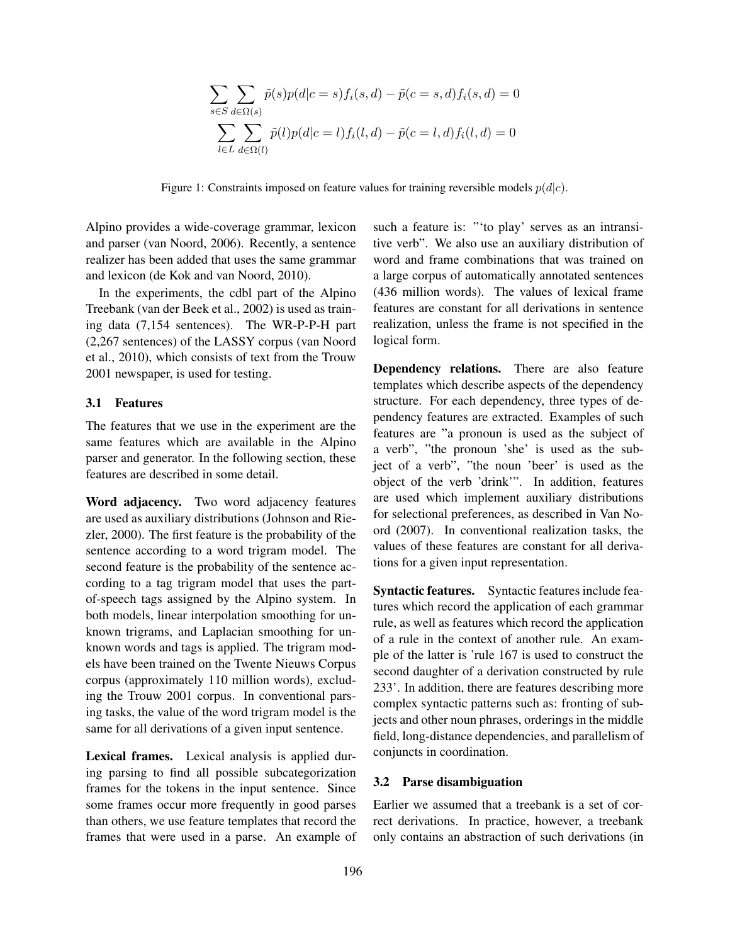$$
\sum_{s \in S} \sum_{d \in \Omega(s)} \tilde{p}(s)p(d|c=s) f_i(s, d) - \tilde{p}(c=s, d) f_i(s, d) = 0
$$

$$
\sum_{l \in L} \sum_{d \in \Omega(l)} \tilde{p}(l)p(d|c=l) f_i(l, d) - \tilde{p}(c=l, d) f_i(l, d) = 0
$$

Figure 1: Constraints imposed on feature values for training reversible models  $p(d|c)$ .

Alpino provides a wide-coverage grammar, lexicon and parser (van Noord, 2006). Recently, a sentence realizer has been added that uses the same grammar and lexicon (de Kok and van Noord, 2010).

In the experiments, the cdbl part of the Alpino Treebank (van der Beek et al., 2002) is used as training data (7,154 sentences). The WR-P-P-H part (2,267 sentences) of the LASSY corpus (van Noord et al., 2010), which consists of text from the Trouw 2001 newspaper, is used for testing.

# 3.1 Features

The features that we use in the experiment are the same features which are available in the Alpino parser and generator. In the following section, these features are described in some detail.

Word adjacency. Two word adjacency features are used as auxiliary distributions (Johnson and Riezler, 2000). The first feature is the probability of the sentence according to a word trigram model. The second feature is the probability of the sentence according to a tag trigram model that uses the partof-speech tags assigned by the Alpino system. In both models, linear interpolation smoothing for unknown trigrams, and Laplacian smoothing for unknown words and tags is applied. The trigram models have been trained on the Twente Nieuws Corpus corpus (approximately 110 million words), excluding the Trouw 2001 corpus. In conventional parsing tasks, the value of the word trigram model is the same for all derivations of a given input sentence.

Lexical frames. Lexical analysis is applied during parsing to find all possible subcategorization frames for the tokens in the input sentence. Since some frames occur more frequently in good parses than others, we use feature templates that record the frames that were used in a parse. An example of such a feature is: "'to play' serves as an intransitive verb". We also use an auxiliary distribution of word and frame combinations that was trained on a large corpus of automatically annotated sentences (436 million words). The values of lexical frame features are constant for all derivations in sentence realization, unless the frame is not specified in the logical form.

Dependency relations. There are also feature templates which describe aspects of the dependency structure. For each dependency, three types of dependency features are extracted. Examples of such features are "a pronoun is used as the subject of a verb", "the pronoun 'she' is used as the subject of a verb", "the noun 'beer' is used as the object of the verb 'drink'". In addition, features are used which implement auxiliary distributions for selectional preferences, as described in Van Noord (2007). In conventional realization tasks, the values of these features are constant for all derivations for a given input representation.

Syntactic features. Syntactic features include features which record the application of each grammar rule, as well as features which record the application of a rule in the context of another rule. An example of the latter is 'rule 167 is used to construct the second daughter of a derivation constructed by rule 233'. In addition, there are features describing more complex syntactic patterns such as: fronting of subjects and other noun phrases, orderings in the middle field, long-distance dependencies, and parallelism of conjuncts in coordination.

#### 3.2 Parse disambiguation

Earlier we assumed that a treebank is a set of correct derivations. In practice, however, a treebank only contains an abstraction of such derivations (in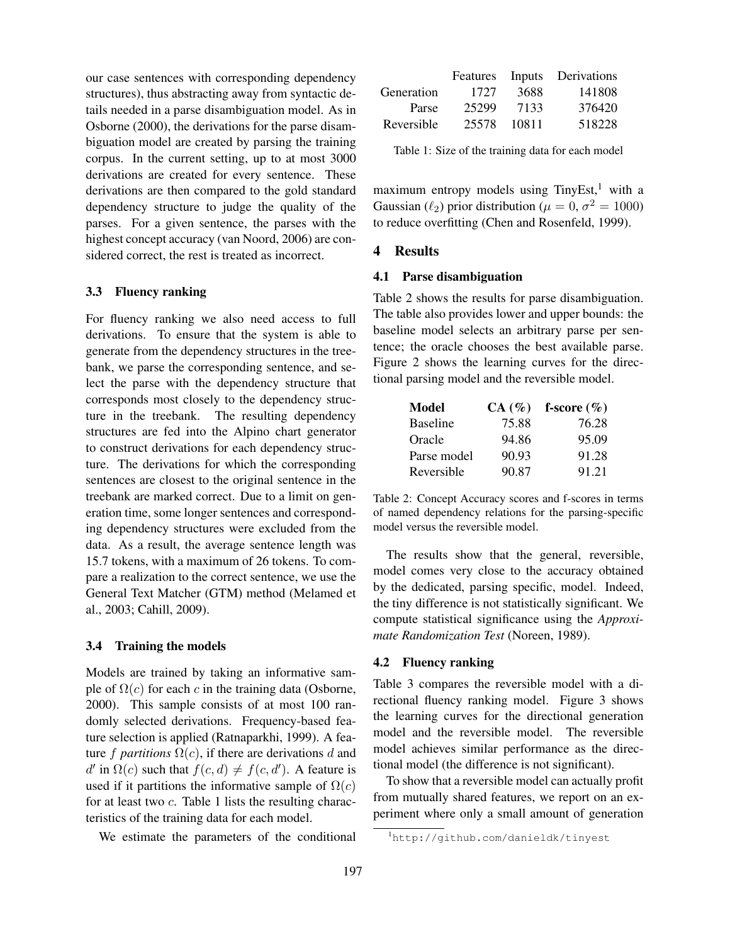our case sentences with corresponding dependency structures), thus abstracting away from syntactic details needed in a parse disambiguation model. As in Osborne (2000), the derivations for the parse disambiguation model are created by parsing the training corpus. In the current setting, up to at most 3000 derivations are created for every sentence. These derivations are then compared to the gold standard dependency structure to judge the quality of the parses. For a given sentence, the parses with the highest concept accuracy (van Noord, 2006) are considered correct, the rest is treated as incorrect.

#### 3.3 Fluency ranking

For fluency ranking we also need access to full derivations. To ensure that the system is able to generate from the dependency structures in the treebank, we parse the corresponding sentence, and select the parse with the dependency structure that corresponds most closely to the dependency structure in the treebank. The resulting dependency structures are fed into the Alpino chart generator to construct derivations for each dependency structure. The derivations for which the corresponding sentences are closest to the original sentence in the treebank are marked correct. Due to a limit on generation time, some longer sentences and corresponding dependency structures were excluded from the data. As a result, the average sentence length was 15.7 tokens, with a maximum of 26 tokens. To compare a realization to the correct sentence, we use the General Text Matcher (GTM) method (Melamed et al., 2003; Cahill, 2009).

## 3.4 Training the models

Models are trained by taking an informative sample of  $\Omega(c)$  for each c in the training data (Osborne, 2000). This sample consists of at most 100 randomly selected derivations. Frequency-based feature selection is applied (Ratnaparkhi, 1999). A feature f *partitions*  $\Omega(c)$ , if there are derivations d and d' in  $\Omega(c)$  such that  $f(c, d) \neq f(c, d')$ . A feature is used if it partitions the informative sample of  $\Omega(c)$ for at least two c. Table 1 lists the resulting characteristics of the training data for each model.

We estimate the parameters of the conditional

|            |       |       | Features Inputs Derivations |
|------------|-------|-------|-----------------------------|
| Generation | 1727  | 3688  | 141808                      |
| Parse      | 25299 | 7133  | 376420                      |
| Reversible | 25578 | 10811 | 518228                      |

Table 1: Size of the training data for each model

maximum entropy models using  $TinyEst$ ,<sup>1</sup> with a Gaussian  $(\ell_2)$  prior distribution ( $\mu = 0, \sigma^2 = 1000$ ) to reduce overfitting (Chen and Rosenfeld, 1999).

#### 4 Results

#### 4.1 Parse disambiguation

Table 2 shows the results for parse disambiguation. The table also provides lower and upper bounds: the baseline model selects an arbitrary parse per sentence; the oracle chooses the best available parse. Figure 2 shows the learning curves for the directional parsing model and the reversible model.

| <b>Model</b>    |       | $CA(\%)$ f-score $(\%)$ |
|-----------------|-------|-------------------------|
| <b>Baseline</b> | 75.88 | 76.28                   |
| Oracle          | 94.86 | 95.09                   |
| Parse model     | 90.93 | 91.28                   |
| Reversible      | 90.87 | 91.21                   |

Table 2: Concept Accuracy scores and f-scores in terms of named dependency relations for the parsing-specific model versus the reversible model.

The results show that the general, reversible, model comes very close to the accuracy obtained by the dedicated, parsing specific, model. Indeed, the tiny difference is not statistically significant. We compute statistical significance using the *Approximate Randomization Test* (Noreen, 1989).

#### 4.2 Fluency ranking

Table 3 compares the reversible model with a directional fluency ranking model. Figure 3 shows the learning curves for the directional generation model and the reversible model. The reversible model achieves similar performance as the directional model (the difference is not significant).

To show that a reversible model can actually profit from mutually shared features, we report on an experiment where only a small amount of generation

<sup>1</sup>http://github.com/danieldk/tinyest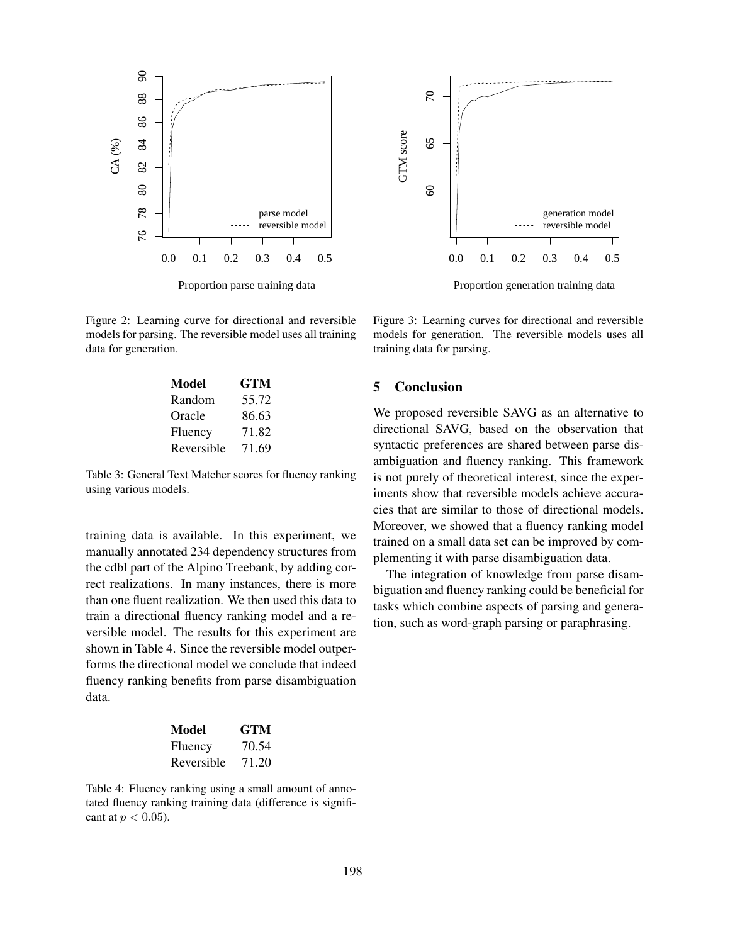



Proportion parse training data

Figure 2: Learning curve for directional and reversible models for parsing. The reversible model uses all training data for generation.

| Model      | GTM   |
|------------|-------|
| Random     | 55.72 |
| Oracle     | 86.63 |
| Fluency    | 71.82 |
| Reversible | 71.69 |

Table 3: General Text Matcher scores for fluency ranking using various models.

training data is available. In this experiment, we manually annotated 234 dependency structures from the cdbl part of the Alpino Treebank, by adding correct realizations. In many instances, there is more than one fluent realization. We then used this data to train a directional fluency ranking model and a reversible model. The results for this experiment are shown in Table 4. Since the reversible model outperforms the directional model we conclude that indeed fluency ranking benefits from parse disambiguation data.

| Model      | <b>GTM</b> |
|------------|------------|
| Fluency    | 70.54      |
| Reversible | 71.20      |

Table 4: Fluency ranking using a small amount of annotated fluency ranking training data (difference is significant at  $p < 0.05$ ).

Proportion generation training data

Figure 3: Learning curves for directional and reversible models for generation. The reversible models uses all training data for parsing.

# 5 Conclusion

We proposed reversible SAVG as an alternative to directional SAVG, based on the observation that syntactic preferences are shared between parse disambiguation and fluency ranking. This framework is not purely of theoretical interest, since the experiments show that reversible models achieve accuracies that are similar to those of directional models. Moreover, we showed that a fluency ranking model trained on a small data set can be improved by complementing it with parse disambiguation data.

The integration of knowledge from parse disambiguation and fluency ranking could be beneficial for tasks which combine aspects of parsing and generation, such as word-graph parsing or paraphrasing.